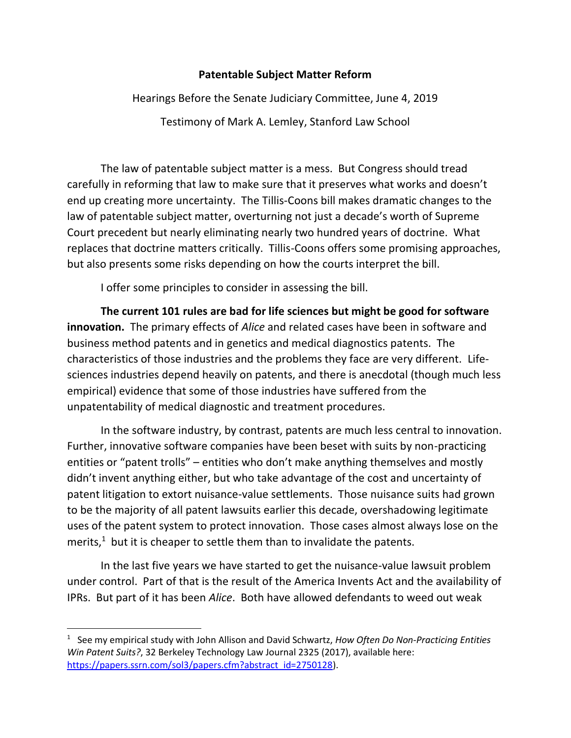## **Patentable Subject Matter Reform**

Hearings Before the Senate Judiciary Committee, June 4, 2019 Testimony of Mark A. Lemley, Stanford Law School

The law of patentable subject matter is a mess. But Congress should tread carefully in reforming that law to make sure that it preserves what works and doesn't end up creating more uncertainty. The Tillis-Coons bill makes dramatic changes to the law of patentable subject matter, overturning not just a decade's worth of Supreme Court precedent but nearly eliminating nearly two hundred years of doctrine. What replaces that doctrine matters critically. Tillis-Coons offers some promising approaches, but also presents some risks depending on how the courts interpret the bill.

I offer some principles to consider in assessing the bill.

**The current 101 rules are bad for life sciences but might be good for software innovation.** The primary effects of *Alice* and related cases have been in software and business method patents and in genetics and medical diagnostics patents. The characteristics of those industries and the problems they face are very different. Lifesciences industries depend heavily on patents, and there is anecdotal (though much less empirical) evidence that some of those industries have suffered from the unpatentability of medical diagnostic and treatment procedures.

In the software industry, by contrast, patents are much less central to innovation. Further, innovative software companies have been beset with suits by non-practicing entities or "patent trolls" – entities who don't make anything themselves and mostly didn't invent anything either, but who take advantage of the cost and uncertainty of patent litigation to extort nuisance-value settlements. Those nuisance suits had grown to be the majority of all patent lawsuits earlier this decade, overshadowing legitimate uses of the patent system to protect innovation. Those cases almost always lose on the merits, $<sup>1</sup>$  but it is cheaper to settle them than to invalidate the patents.</sup>

In the last five years we have started to get the nuisance-value lawsuit problem under control. Part of that is the result of the America Invents Act and the availability of IPRs. But part of it has been *Alice*. Both have allowed defendants to weed out weak

 $\overline{a}$ 

<sup>1</sup> See my empirical study with John Allison and David Schwartz, *How Often Do Non-Practicing Entities Win Patent Suits?*, 32 Berkeley Technology Law Journal 2325 (2017), available here: [https://papers.ssrn.com/sol3/papers.cfm?abstract\\_id=2750128\)](https://papers.ssrn.com/sol3/papers.cfm?abstract_id=2750128).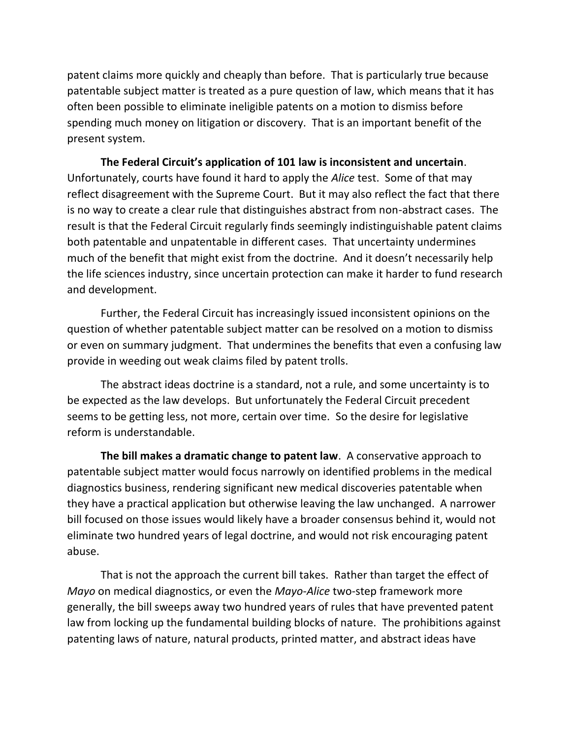patent claims more quickly and cheaply than before. That is particularly true because patentable subject matter is treated as a pure question of law, which means that it has often been possible to eliminate ineligible patents on a motion to dismiss before spending much money on litigation or discovery. That is an important benefit of the present system.

**The Federal Circuit's application of 101 law is inconsistent and uncertain**. Unfortunately, courts have found it hard to apply the *Alice* test. Some of that may reflect disagreement with the Supreme Court. But it may also reflect the fact that there is no way to create a clear rule that distinguishes abstract from non-abstract cases. The result is that the Federal Circuit regularly finds seemingly indistinguishable patent claims both patentable and unpatentable in different cases. That uncertainty undermines much of the benefit that might exist from the doctrine. And it doesn't necessarily help the life sciences industry, since uncertain protection can make it harder to fund research and development.

Further, the Federal Circuit has increasingly issued inconsistent opinions on the question of whether patentable subject matter can be resolved on a motion to dismiss or even on summary judgment. That undermines the benefits that even a confusing law provide in weeding out weak claims filed by patent trolls.

The abstract ideas doctrine is a standard, not a rule, and some uncertainty is to be expected as the law develops. But unfortunately the Federal Circuit precedent seems to be getting less, not more, certain over time. So the desire for legislative reform is understandable.

**The bill makes a dramatic change to patent law**. A conservative approach to patentable subject matter would focus narrowly on identified problems in the medical diagnostics business, rendering significant new medical discoveries patentable when they have a practical application but otherwise leaving the law unchanged. A narrower bill focused on those issues would likely have a broader consensus behind it, would not eliminate two hundred years of legal doctrine, and would not risk encouraging patent abuse.

That is not the approach the current bill takes. Rather than target the effect of *Mayo* on medical diagnostics, or even the *Mayo-Alice* two-step framework more generally, the bill sweeps away two hundred years of rules that have prevented patent law from locking up the fundamental building blocks of nature. The prohibitions against patenting laws of nature, natural products, printed matter, and abstract ideas have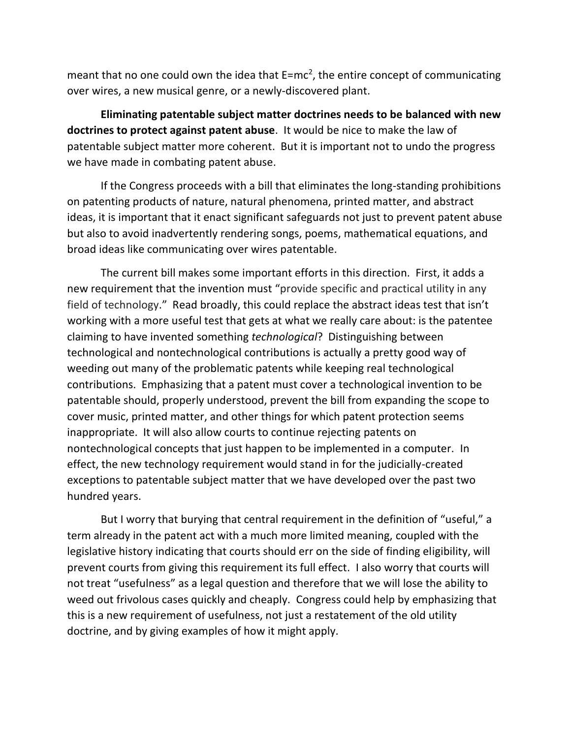meant that no one could own the idea that  $E=mc^2$ , the entire concept of communicating over wires, a new musical genre, or a newly-discovered plant.

**Eliminating patentable subject matter doctrines needs to be balanced with new doctrines to protect against patent abuse**. It would be nice to make the law of patentable subject matter more coherent. But it is important not to undo the progress we have made in combating patent abuse.

If the Congress proceeds with a bill that eliminates the long-standing prohibitions on patenting products of nature, natural phenomena, printed matter, and abstract ideas, it is important that it enact significant safeguards not just to prevent patent abuse but also to avoid inadvertently rendering songs, poems, mathematical equations, and broad ideas like communicating over wires patentable.

The current bill makes some important efforts in this direction. First, it adds a new requirement that the invention must "provide specific and practical utility in any field of technology." Read broadly, this could replace the abstract ideas test that isn't working with a more useful test that gets at what we really care about: is the patentee claiming to have invented something *technological*? Distinguishing between technological and nontechnological contributions is actually a pretty good way of weeding out many of the problematic patents while keeping real technological contributions. Emphasizing that a patent must cover a technological invention to be patentable should, properly understood, prevent the bill from expanding the scope to cover music, printed matter, and other things for which patent protection seems inappropriate. It will also allow courts to continue rejecting patents on nontechnological concepts that just happen to be implemented in a computer. In effect, the new technology requirement would stand in for the judicially-created exceptions to patentable subject matter that we have developed over the past two hundred years.

But I worry that burying that central requirement in the definition of "useful," a term already in the patent act with a much more limited meaning, coupled with the legislative history indicating that courts should err on the side of finding eligibility, will prevent courts from giving this requirement its full effect. I also worry that courts will not treat "usefulness" as a legal question and therefore that we will lose the ability to weed out frivolous cases quickly and cheaply. Congress could help by emphasizing that this is a new requirement of usefulness, not just a restatement of the old utility doctrine, and by giving examples of how it might apply.